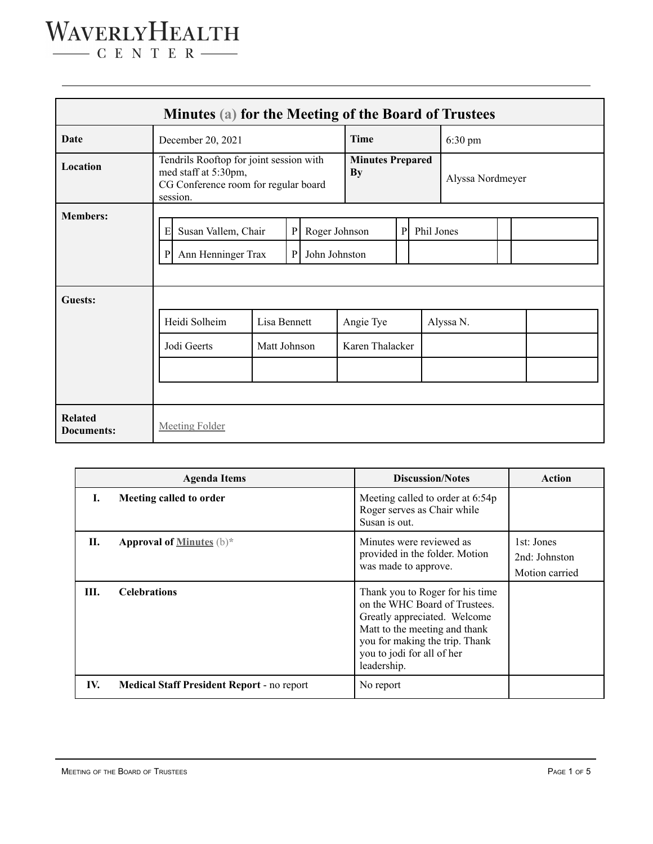### WAVERLYHEALTH

 $\begin{tabular}{c} \quad \quad \textbf{C} \textbf{E} \textbf{N} \textbf{T} \textbf{E} \textbf{R} \end{tabular}$ 

| Minutes (a) for the Meeting of the Board of Trustees |                                                                                                                                              |                              |  |                                      |                              |                  |  |           |  |  |  |  |
|------------------------------------------------------|----------------------------------------------------------------------------------------------------------------------------------------------|------------------------------|--|--------------------------------------|------------------------------|------------------|--|-----------|--|--|--|--|
| Date                                                 | December 20, 2021                                                                                                                            |                              |  | <b>Time</b>                          |                              | 6:30 pm          |  |           |  |  |  |  |
| Location                                             | Tendrils Rooftop for joint session with<br>med staff at 5:30pm,<br>CG Conference room for regular board<br>session.                          |                              |  | <b>Minutes Prepared</b><br><b>By</b> |                              | Alyssa Nordmeyer |  |           |  |  |  |  |
| <b>Members:</b>                                      | $\mathbf P$<br>${\bf P}$<br>Roger Johnson<br>Phil Jones<br>E<br>Susan Vallem, Chair<br>Ann Henninger Trax<br>${\bf P}$<br>John Johnston<br>P |                              |  |                                      |                              |                  |  |           |  |  |  |  |
| <b>Guests:</b>                                       | Heidi Solheim<br>Jodi Geerts                                                                                                                 | Lisa Bennett<br>Matt Johnson |  |                                      | Angie Tye<br>Karen Thalacker |                  |  | Alyssa N. |  |  |  |  |
| <b>Related</b><br><b>Documents:</b>                  | <b>Meeting Folder</b>                                                                                                                        |                              |  |                                      |                              |                  |  |           |  |  |  |  |

|      | <b>Agenda Items</b>                               | <b>Discussion/Notes</b>                                                                                                                                                                                          | Action                                        |
|------|---------------------------------------------------|------------------------------------------------------------------------------------------------------------------------------------------------------------------------------------------------------------------|-----------------------------------------------|
| L    | Meeting called to order                           | Meeting called to order at 6:54p<br>Roger serves as Chair while<br>Susan is out.                                                                                                                                 |                                               |
| П.   | <b>Approval of Minutes</b> $(b)^*$                | Minutes were reviewed as<br>provided in the folder. Motion<br>was made to approve.                                                                                                                               | 1st: Jones<br>2nd: Johnston<br>Motion carried |
| III. | <b>Celebrations</b>                               | Thank you to Roger for his time<br>on the WHC Board of Trustees.<br>Greatly appreciated. Welcome<br>Matt to the meeting and thank<br>you for making the trip. Thank<br>you to jodi for all of her<br>leadership. |                                               |
| IV.  | <b>Medical Staff President Report - no report</b> | No report                                                                                                                                                                                                        |                                               |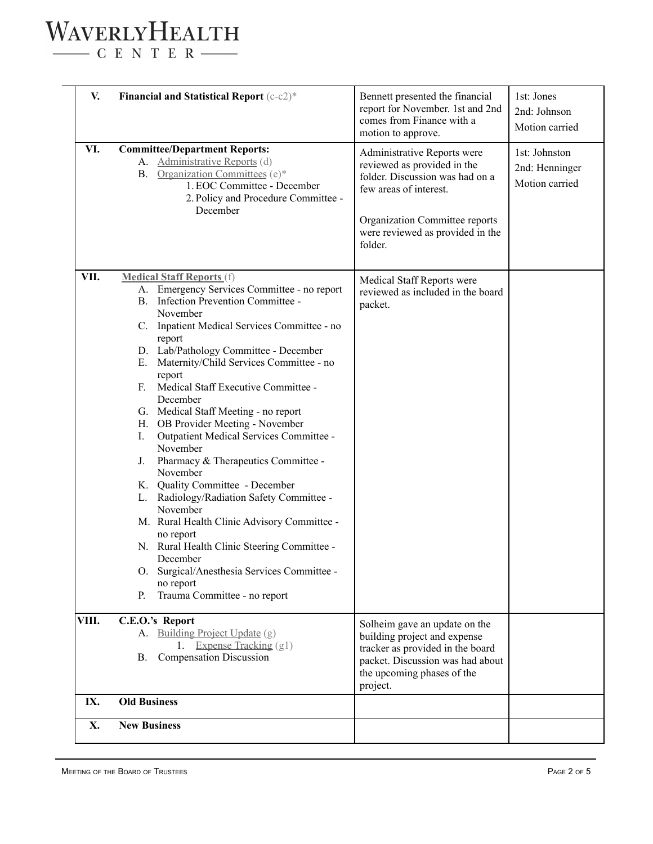## WAVERLYHEALTH

 $\begin{tabular}{c} \quad \quad \textbf{C} \quad E \quad N \quad T \quad E \quad R \end{tabular}$ 

| V.    | <b>Financial and Statistical Report</b> (c-c2)*                                                                                                                                                                                                                                                                                                                                                                                                                                                                                                                                                                                                                                                                                                                                                                                                                                | Bennett presented the financial<br>report for November. 1st and 2nd<br>comes from Finance with a<br>motion to approve.                                                                                   | 1st: Jones<br>2nd: Johnson<br>Motion carried      |
|-------|--------------------------------------------------------------------------------------------------------------------------------------------------------------------------------------------------------------------------------------------------------------------------------------------------------------------------------------------------------------------------------------------------------------------------------------------------------------------------------------------------------------------------------------------------------------------------------------------------------------------------------------------------------------------------------------------------------------------------------------------------------------------------------------------------------------------------------------------------------------------------------|----------------------------------------------------------------------------------------------------------------------------------------------------------------------------------------------------------|---------------------------------------------------|
| VI.   | <b>Committee/Department Reports:</b><br>A. Administrative Reports (d)<br><b>B.</b> Organization Committees (e)*<br>1. EOC Committee - December<br>2. Policy and Procedure Committee -<br>December                                                                                                                                                                                                                                                                                                                                                                                                                                                                                                                                                                                                                                                                              | Administrative Reports were<br>reviewed as provided in the<br>folder. Discussion was had on a<br>few areas of interest.<br>Organization Committee reports<br>were reviewed as provided in the<br>folder. | 1st: Johnston<br>2nd: Henninger<br>Motion carried |
| VII.  | <b>Medical Staff Reports (f)</b><br>A. Emergency Services Committee - no report<br>B. Infection Prevention Committee -<br>November<br>C. Inpatient Medical Services Committee - no<br>report<br>D. Lab/Pathology Committee - December<br>E. Maternity/Child Services Committee - no<br>report<br>Medical Staff Executive Committee -<br>E.<br>December<br>G. Medical Staff Meeting - no report<br>H. OB Provider Meeting - November<br>Outpatient Medical Services Committee -<br>I.<br>November<br>Pharmacy & Therapeutics Committee -<br>J.<br>November<br>K. Quality Committee - December<br>L. Radiology/Radiation Safety Committee -<br>November<br>M. Rural Health Clinic Advisory Committee -<br>no report<br>N. Rural Health Clinic Steering Committee -<br>December<br>O. Surgical/Anesthesia Services Committee -<br>no report<br>Trauma Committee - no report<br>P. | Medical Staff Reports were<br>reviewed as included in the board<br>packet.                                                                                                                               |                                                   |
| VIII. | C.E.O.'s Report<br>A. Building Project Update (g)<br><b>Expense Tracking (g1)</b><br><b>Compensation Discussion</b><br>В.                                                                                                                                                                                                                                                                                                                                                                                                                                                                                                                                                                                                                                                                                                                                                      | Solheim gave an update on the<br>building project and expense<br>tracker as provided in the board<br>packet. Discussion was had about<br>the upcoming phases of the<br>project.                          |                                                   |
| IX.   | <b>Old Business</b>                                                                                                                                                                                                                                                                                                                                                                                                                                                                                                                                                                                                                                                                                                                                                                                                                                                            |                                                                                                                                                                                                          |                                                   |
| X.    | <b>New Business</b>                                                                                                                                                                                                                                                                                                                                                                                                                                                                                                                                                                                                                                                                                                                                                                                                                                                            |                                                                                                                                                                                                          |                                                   |
|       |                                                                                                                                                                                                                                                                                                                                                                                                                                                                                                                                                                                                                                                                                                                                                                                                                                                                                |                                                                                                                                                                                                          |                                                   |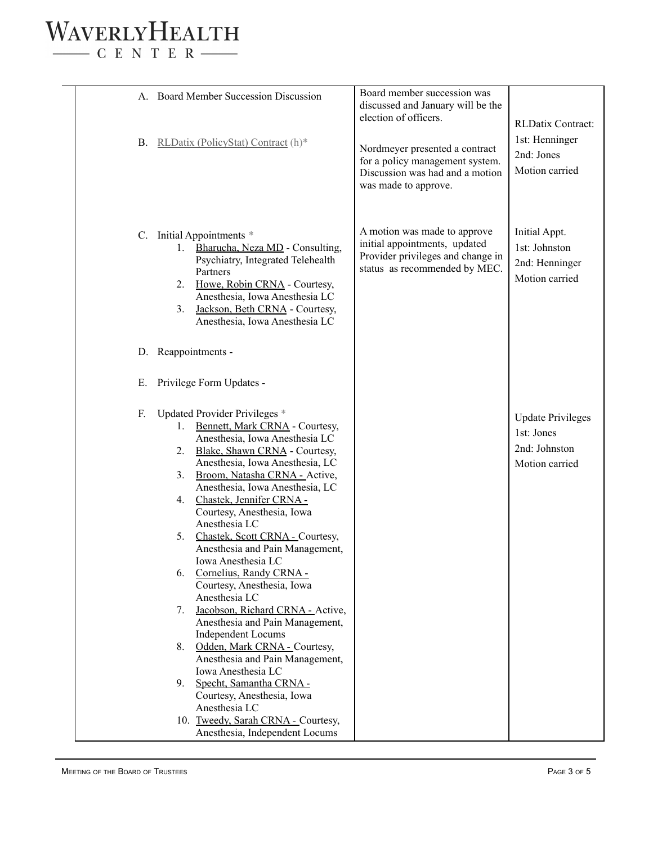#### WAVERLYHEALTH  $\begin{tabular}{c} \quad \quad \textbf{C} \quad E \quad N \quad T \quad E \quad R \end{tabular}$

| А.                                                       | <b>Board Member Succession Discussion</b>                                                                                                                                                                                                                                                                                                                                                                                                                                                                                                                                                                                                                                                                                                                                                                                                 | Board member succession was<br>discussed and January will be the<br>election of officers.                                           | RLDatix Contract:                                                         |
|----------------------------------------------------------|-------------------------------------------------------------------------------------------------------------------------------------------------------------------------------------------------------------------------------------------------------------------------------------------------------------------------------------------------------------------------------------------------------------------------------------------------------------------------------------------------------------------------------------------------------------------------------------------------------------------------------------------------------------------------------------------------------------------------------------------------------------------------------------------------------------------------------------------|-------------------------------------------------------------------------------------------------------------------------------------|---------------------------------------------------------------------------|
| В.                                                       | RLDatix (PolicyStat) Contract (h)*                                                                                                                                                                                                                                                                                                                                                                                                                                                                                                                                                                                                                                                                                                                                                                                                        | Nordmeyer presented a contract<br>for a policy management system.<br>Discussion was had and a motion<br>was made to approve.        | 1st: Henninger<br>2nd: Jones<br>Motion carried                            |
| C.<br>1.<br>2.<br>3.                                     | Initial Appointments *<br>Bharucha, Neza MD - Consulting,<br>Psychiatry, Integrated Telehealth<br>Partners<br>Howe, Robin CRNA - Courtesy,<br>Anesthesia, Iowa Anesthesia LC<br>Jackson, Beth CRNA - Courtesy,<br>Anesthesia, Iowa Anesthesia LC                                                                                                                                                                                                                                                                                                                                                                                                                                                                                                                                                                                          | A motion was made to approve<br>initial appointments, updated<br>Provider privileges and change in<br>status as recommended by MEC. | Initial Appt.<br>1st: Johnston<br>2nd: Henninger<br>Motion carried        |
| D. Reappointments -                                      |                                                                                                                                                                                                                                                                                                                                                                                                                                                                                                                                                                                                                                                                                                                                                                                                                                           |                                                                                                                                     |                                                                           |
| Е.                                                       | Privilege Form Updates -                                                                                                                                                                                                                                                                                                                                                                                                                                                                                                                                                                                                                                                                                                                                                                                                                  |                                                                                                                                     |                                                                           |
| F.<br>1.<br>2.<br>3.<br>4.<br>5.<br>6.<br>7.<br>8.<br>9. | Updated Provider Privileges *<br>Bennett, Mark CRNA - Courtesy,<br>Anesthesia, Iowa Anesthesia LC<br>Blake, Shawn CRNA - Courtesy,<br>Anesthesia, Iowa Anesthesia, LC<br>Broom, Natasha CRNA - Active,<br>Anesthesia, Iowa Anesthesia, LC<br>Chastek, Jennifer CRNA -<br>Courtesy, Anesthesia, Iowa<br>Anesthesia LC<br>Chastek, Scott CRNA - Courtesy,<br>Anesthesia and Pain Management,<br>Iowa Anesthesia LC<br>Cornelius, Randy CRNA -<br>Courtesy, Anesthesia, Iowa<br>Anesthesia LC<br>Jacobson, Richard CRNA - Active,<br>Anesthesia and Pain Management,<br><b>Independent Locums</b><br>Odden, Mark CRNA - Courtesy,<br>Anesthesia and Pain Management,<br>Iowa Anesthesia LC<br>Specht, Samantha CRNA -<br>Courtesy, Anesthesia, Iowa<br>Anesthesia LC<br>10. Tweedy, Sarah CRNA - Courtesy,<br>Anesthesia, Independent Locums |                                                                                                                                     | <b>Update Privileges</b><br>1st: Jones<br>2nd: Johnston<br>Motion carried |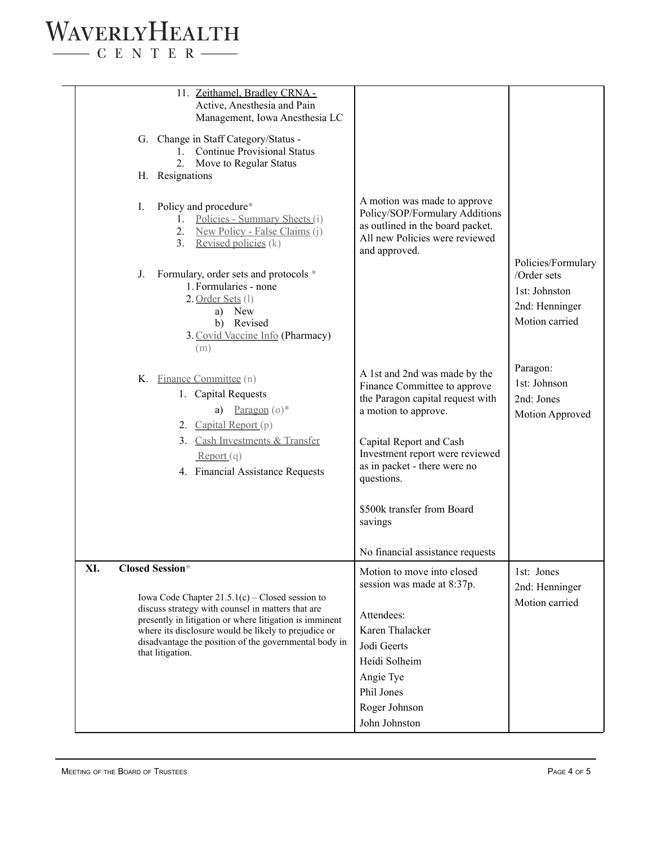#### WAVERLYHEALTH  $\begin{tabular}{c} \quad \quad \textbf{C} \quad E \quad N \quad T \quad E \quad R \end{tabular}$

|     | 11. Zeithamel, Bradley CRNA -<br>Active, Anesthesia and Pain<br>Management, Iowa Anesthesia LC<br>G. Change in Staff Category/Status -<br>1. Continue Provisional Status |                                                                                                                                                       |                                                |
|-----|--------------------------------------------------------------------------------------------------------------------------------------------------------------------------|-------------------------------------------------------------------------------------------------------------------------------------------------------|------------------------------------------------|
|     | 2. Move to Regular Status                                                                                                                                                |                                                                                                                                                       |                                                |
|     | H. Resignations                                                                                                                                                          |                                                                                                                                                       |                                                |
|     | Policy and procedure*<br>I.<br>Policies - Summary Sheets (i)<br>1.<br>New Policy - False Claims (j)<br>2.<br>Revised policies (k)<br>3 <sub>1</sub>                      | A motion was made to approve<br>Policy/SOP/Formulary Additions<br>as outlined in the board packet.<br>All new Policies were reviewed<br>and approved. | Policies/Formulary                             |
|     | Formulary, order sets and protocols *<br>J.<br>1. Formularies - none<br>2. Order Sets (1)                                                                                |                                                                                                                                                       | /Order sets<br>1st: Johnston<br>2nd: Henninger |
|     | a) New<br>b) Revised<br>3. Covid Vaccine Info (Pharmacy)                                                                                                                 |                                                                                                                                                       | Motion carried                                 |
|     | (m)                                                                                                                                                                      |                                                                                                                                                       |                                                |
|     | K. Finance Committee (n)<br>1. Capital Requests                                                                                                                          | A 1st and 2nd was made by the<br>Finance Committee to approve<br>the Paragon capital request with                                                     | Paragon:<br>1st: Johnson<br>2nd: Jones         |
|     | a) Paragon $(o)^*$                                                                                                                                                       | a motion to approve.                                                                                                                                  | Motion Approved                                |
|     | 2. Capital Report (p)<br>3. Cash Investments & Transfer<br>Report(q)                                                                                                     | Capital Report and Cash<br>Investment report were reviewed                                                                                            |                                                |
|     | 4. Financial Assistance Requests                                                                                                                                         | as in packet - there were no<br>questions.                                                                                                            |                                                |
|     |                                                                                                                                                                          | \$500k transfer from Board<br>savings                                                                                                                 |                                                |
|     |                                                                                                                                                                          | No financial assistance requests                                                                                                                      |                                                |
| XI. | <b>Closed Session*</b><br>Iowa Code Chapter $21.5.1(c)$ – Closed session to                                                                                              | Motion to move into closed<br>session was made at 8:37p.                                                                                              | 1st: Jones<br>2nd: Henninger                   |
|     | discuss strategy with counsel in matters that are                                                                                                                        |                                                                                                                                                       | Motion carried                                 |
|     | presently in litigation or where litigation is imminent                                                                                                                  | Attendees:<br>Karen Thalacker                                                                                                                         |                                                |
|     | where its disclosure would be likely to prejudice or<br>disadvantage the position of the governmental body in                                                            | Jodi Geerts                                                                                                                                           |                                                |
|     | that litigation.                                                                                                                                                         | Heidi Solheim                                                                                                                                         |                                                |
|     |                                                                                                                                                                          | Angie Tye                                                                                                                                             |                                                |
|     |                                                                                                                                                                          | Phil Jones                                                                                                                                            |                                                |
|     |                                                                                                                                                                          | Roger Johnson                                                                                                                                         |                                                |
|     |                                                                                                                                                                          | John Johnston                                                                                                                                         |                                                |
|     |                                                                                                                                                                          |                                                                                                                                                       |                                                |